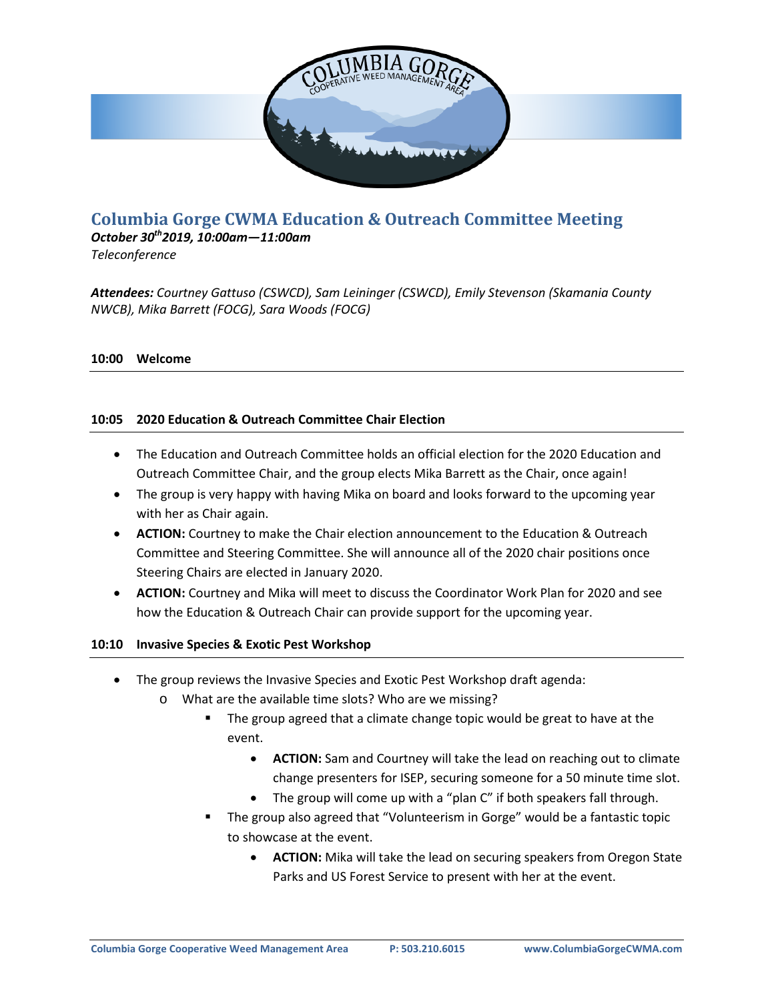

# **Columbia Gorge CWMA Education & Outreach Committee Meeting**

*October 30th2019, 10:00am—11:00am Teleconference*

*Attendees: Courtney Gattuso (CSWCD), Sam Leininger (CSWCD), Emily Stevenson (Skamania County NWCB), Mika Barrett (FOCG), Sara Woods (FOCG)*

#### **10:00 Welcome**

## **10:05 2020 Education & Outreach Committee Chair Election**

- The Education and Outreach Committee holds an official election for the 2020 Education and Outreach Committee Chair, and the group elects Mika Barrett as the Chair, once again!
- The group is very happy with having Mika on board and looks forward to the upcoming year with her as Chair again.
- **ACTION:** Courtney to make the Chair election announcement to the Education & Outreach Committee and Steering Committee. She will announce all of the 2020 chair positions once Steering Chairs are elected in January 2020.
- **ACTION:** Courtney and Mika will meet to discuss the Coordinator Work Plan for 2020 and see how the Education & Outreach Chair can provide support for the upcoming year.

#### **10:10 Invasive Species & Exotic Pest Workshop**

- The group reviews the Invasive Species and Exotic Pest Workshop draft agenda:
	- o What are the available time slots? Who are we missing?
		- **The group agreed that a climate change topic would be great to have at the** event.
			- **ACTION:** Sam and Courtney will take the lead on reaching out to climate change presenters for ISEP, securing someone for a 50 minute time slot.
			- The group will come up with a "plan C" if both speakers fall through.
		- The group also agreed that "Volunteerism in Gorge" would be a fantastic topic to showcase at the event.
			- **ACTION:** Mika will take the lead on securing speakers from Oregon State Parks and US Forest Service to present with her at the event.